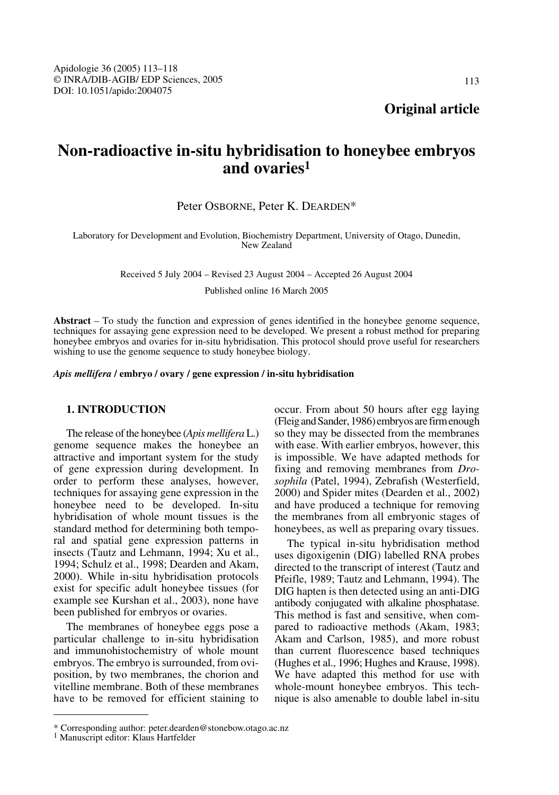113

**Original article**

# **Non-radioactive in-situ hybridisation to honeybee embryos and ovaries1**

# Peter OSBORNE, Peter K. DEARDEN\*

Laboratory for Development and Evolution, Biochemistry Department, University of Otago, Dunedin, New Zealand

Received 5 July 2004 – Revised 23 August 2004 – Accepted 26 August 2004

Published online 16 March 2005

**Abstract** – To study the function and expression of genes identified in the honeybee genome sequence, techniques for assaying gene expression need to be developed. We present a robust method for preparing honeybee embryos and ovaries for in-situ hybridisation. This protocol should prove useful for researchers wishing to use the genome sequence to study honeybee biology.

*Apis mellifera* **/ embryo / ovary / gene expression / in-situ hybridisation**

## **1. INTRODUCTION**

The release of the honeybee (*Apis mellifera* L.) genome sequence makes the honeybee an attractive and important system for the study of gene expression during development. In order to perform these analyses, however, techniques for assaying gene expression in the honeybee need to be developed. In-situ hybridisation of whole mount tissues is the standard method for determining both temporal and spatial gene expression patterns in insects (Tautz and Lehmann, 1994; Xu et al., 1994; Schulz et al., 1998; Dearden and Akam, 2000). While in-situ hybridisation protocols exist for specific adult honeybee tissues (for example see Kurshan et al., 2003), none have been published for embryos or ovaries.

The membranes of honeybee eggs pose a particular challenge to in-situ hybridisation and immunohistochemistry of whole mount embryos. The embryo is surrounded, from oviposition, by two membranes, the chorion and vitelline membrane. Both of these membranes have to be removed for efficient staining to occur. From about 50 hours after egg laying (Fleig and Sander, 1986) embryos are firm enough so they may be dissected from the membranes with ease. With earlier embryos, however, this is impossible. We have adapted methods for fixing and removing membranes from *Drosophila* (Patel, 1994), Zebrafish (Westerfield, 2000) and Spider mites (Dearden et al., 2002) and have produced a technique for removing the membranes from all embryonic stages of honeybees, as well as preparing ovary tissues.

The typical in-situ hybridisation method uses digoxigenin (DIG) labelled RNA probes directed to the transcript of interest (Tautz and Pfeifle, 1989; Tautz and Lehmann, 1994). The DIG hapten is then detected using an anti-DIG antibody conjugated with alkaline phosphatase. This method is fast and sensitive, when compared to radioactive methods (Akam, 1983; Akam and Carlson, 1985), and more robust than current fluorescence based techniques (Hughes et al., 1996; Hughes and Krause, 1998). We have adapted this method for use with whole-mount honeybee embryos. This technique is also amenable to double label in-situ

<sup>\*</sup> Corresponding author: peter.dearden@stonebow.otago.ac.nz <sup>1</sup> Manuscript editor: Klaus Hartfelder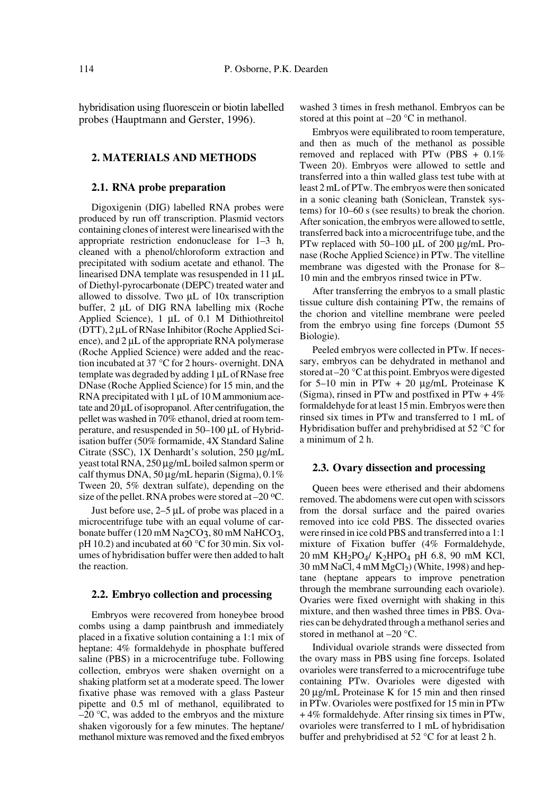hybridisation using fluorescein or biotin labelled probes (Hauptmann and Gerster, 1996).

## **2. MATERIALS AND METHODS**

## **2.1. RNA probe preparation**

Digoxigenin (DIG) labelled RNA probes were produced by run off transcription. Plasmid vectors containing clones of interest were linearised with the appropriate restriction endonuclease for 1–3 h, cleaned with a phenol/chloroform extraction and precipitated with sodium acetate and ethanol. The linearised DNA template was resuspended in 11 µL of Diethyl-pyrocarbonate (DEPC) treated water and allowed to dissolve. Two µL of 10x transcription buffer, 2 µL of DIG RNA labelling mix (Roche Applied Science), 1 µL of 0.1 M Dithiothreitol (DTT), 2 µL of RNase Inhibitor (Roche Applied Science), and 2  $\mu$ L of the appropriate RNA polymerase (Roche Applied Science) were added and the reaction incubated at 37 °C for 2 hours- overnight. DNA template was degraded by adding 1 µL of RNase free DNase (Roche Applied Science) for 15 min, and the RNA precipitated with  $1 \mu L$  of  $10 M$  ammonium acetate and 20 µL of isopropanol. After centrifugation, the pellet was washed in 70% ethanol, dried at room temperature, and resuspended in 50–100 µL of Hybridisation buffer (50% formamide, 4X Standard Saline Citrate (SSC), 1X Denhardt's solution, 250 µg/mL yeast total RNA, 250 µg/mL boiled salmon sperm or calf thymus DNA,  $50 \mu g/mL$  heparin (Sigma),  $0.1\%$ Tween 20, 5% dextran sulfate), depending on the size of the pellet. RNA probes were stored at  $-20$  °C.

Just before use, 2–5 µL of probe was placed in a microcentrifuge tube with an equal volume of carbonate buffer (120 mM Na<sub>2</sub>CO<sub>3</sub>, 80 mM NaHCO<sub>3</sub>, pH 10.2) and incubated at  $\overline{60}$  °C for 30 min. Six volumes of hybridisation buffer were then added to halt the reaction.

## **2.2. Embryo collection and processing**

Embryos were recovered from honeybee brood combs using a damp paintbrush and immediately placed in a fixative solution containing a 1:1 mix of heptane: 4% formaldehyde in phosphate buffered saline (PBS) in a microcentrifuge tube. Following collection, embryos were shaken overnight on a shaking platform set at a moderate speed. The lower fixative phase was removed with a glass Pasteur pipette and 0.5 ml of methanol, equilibrated to  $-20$  °C, was added to the embryos and the mixture shaken vigorously for a few minutes. The heptane/ methanol mixture was removed and the fixed embryos washed 3 times in fresh methanol. Embryos can be stored at this point at  $-20$  °C in methanol.

Embryos were equilibrated to room temperature, and then as much of the methanol as possible removed and replaced with PTw (PBS + 0.1% Tween 20). Embryos were allowed to settle and transferred into a thin walled glass test tube with at least 2 mL of PTw. The embryos were then sonicated in a sonic cleaning bath (Soniclean, Transtek systems) for 10–60 s (see results) to break the chorion. After sonication, the embryos were allowed to settle, transferred back into a microcentrifuge tube, and the PTw replaced with 50–100 µL of 200 µg/mL Pronase (Roche Applied Science) in PTw. The vitelline membrane was digested with the Pronase for 8– 10 min and the embryos rinsed twice in PTw.

After transferring the embryos to a small plastic tissue culture dish containing PTw, the remains of the chorion and vitelline membrane were peeled from the embryo using fine forceps (Dumont 55 Biologie).

Peeled embryos were collected in PTw. If necessary, embryos can be dehydrated in methanol and stored at –20 °C at this point. Embryos were digested for  $5-10$  min in PTw + 20  $\mu$ g/mL Proteinase K (Sigma), rinsed in PTw and postfixed in PTw  $+4\%$ formaldehyde for at least 15 min. Embryos were then rinsed six times in PTw and transferred to 1 mL of Hybridisation buffer and prehybridised at 52 °C for a minimum of 2 h.

#### **2.3. Ovary dissection and processing**

Queen bees were etherised and their abdomens removed. The abdomens were cut open with scissors from the dorsal surface and the paired ovaries removed into ice cold PBS. The dissected ovaries were rinsed in ice cold PBS and transferred into a 1:1 mixture of Fixation buffer (4% Formaldehyde,  $20 \text{ mM } KH_2PO_4/ K_2HPO_4 \text{ pH } 6.8, 90 \text{ mM KCl},$  $30 \text{ mM NaCl}, 4 \text{ mM MgCl}_2$ ) (White, 1998) and heptane (heptane appears to improve penetration through the membrane surrounding each ovariole). Ovaries were fixed overnight with shaking in this mixture, and then washed three times in PBS. Ovaries can be dehydrated through a methanol series and stored in methanol at –20 °C.

Individual ovariole strands were dissected from the ovary mass in PBS using fine forceps. Isolated ovarioles were transferred to a microcentrifuge tube containing PTw. Ovarioles were digested with 20 µg/mL Proteinase K for 15 min and then rinsed in PTw. Ovarioles were postfixed for 15 min in PTw + 4% formaldehyde. After rinsing six times in PTw, ovarioles were transferred to 1 mL of hybridisation buffer and prehybridised at 52 °C for at least 2 h.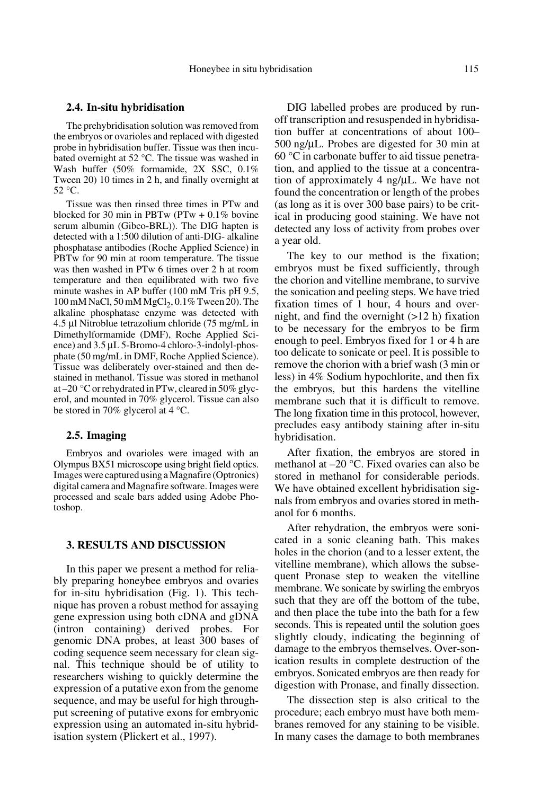#### **2.4. In-situ hybridisation**

The prehybridisation solution was removed from the embryos or ovarioles and replaced with digested probe in hybridisation buffer. Tissue was then incubated overnight at 52 °C. The tissue was washed in Wash buffer (50% formamide, 2X SSC, 0.1% Tween 20) 10 times in 2 h, and finally overnight at 52 °C.

Tissue was then rinsed three times in PTw and blocked for 30 min in PBTw ( $PTw + 0.1\%$  bovine serum albumin (Gibco-BRL)). The DIG hapten is detected with a 1:500 dilution of anti-DIG- alkaline phosphatase antibodies (Roche Applied Science) in PBTw for 90 min at room temperature. The tissue was then washed in PTw 6 times over 2 h at room temperature and then equilibrated with two five minute washes in AP buffer (100 mM Tris pH 9.5,  $100 \text{ mM NaCl}, 50 \text{ mM MgCl}_2, 0.1\%$  Tween 20). The alkaline phosphatase enzyme was detected with 4.5 µl Nitroblue tetrazolium chloride (75 mg/mL in Dimethylformamide (DMF), Roche Applied Science) and 3.5 µL 5-Bromo-4 chloro-3-indolyl-phosphate (50 mg/mL in DMF, Roche Applied Science). Tissue was deliberately over-stained and then destained in methanol. Tissue was stored in methanol at –20 °C or rehydrated in PTw, cleared in 50% glycerol, and mounted in 70% glycerol. Tissue can also be stored in 70% glycerol at 4 °C.

#### **2.5. Imaging**

Embryos and ovarioles were imaged with an Olympus BX51 microscope using bright field optics. Images were captured using a Magnafire (Optronics) digital camera and Magnafire software. Images were processed and scale bars added using Adobe Photoshop.

## **3. RESULTS AND DISCUSSION**

In this paper we present a method for reliably preparing honeybee embryos and ovaries for in-situ hybridisation (Fig. 1). This technique has proven a robust method for assaying gene expression using both cDNA and gDNA (intron containing) derived probes. For genomic DNA probes, at least 300 bases of coding sequence seem necessary for clean signal. This technique should be of utility to researchers wishing to quickly determine the expression of a putative exon from the genome sequence, and may be useful for high throughput screening of putative exons for embryonic expression using an automated in-situ hybridisation system (Plickert et al., 1997).

DIG labelled probes are produced by runoff transcription and resuspended in hybridisation buffer at concentrations of about 100– 500 ng/µL. Probes are digested for 30 min at 60 °C in carbonate buffer to aid tissue penetration, and applied to the tissue at a concentration of approximately 4 ng/µL. We have not found the concentration or length of the probes (as long as it is over 300 base pairs) to be critical in producing good staining. We have not detected any loss of activity from probes over a year old.

The key to our method is the fixation; embryos must be fixed sufficiently, through the chorion and vitelline membrane, to survive the sonication and peeling steps. We have tried fixation times of 1 hour, 4 hours and overnight, and find the overnight  $(>12 h)$  fixation to be necessary for the embryos to be firm enough to peel. Embryos fixed for 1 or 4 h are too delicate to sonicate or peel. It is possible to remove the chorion with a brief wash (3 min or less) in 4% Sodium hypochlorite, and then fix the embryos, but this hardens the vitelline membrane such that it is difficult to remove. The long fixation time in this protocol, however, precludes easy antibody staining after in-situ hybridisation.

After fixation, the embryos are stored in methanol at –20 °C. Fixed ovaries can also be stored in methanol for considerable periods. We have obtained excellent hybridisation signals from embryos and ovaries stored in methanol for 6 months.

After rehydration, the embryos were sonicated in a sonic cleaning bath. This makes holes in the chorion (and to a lesser extent, the vitelline membrane), which allows the subsequent Pronase step to weaken the vitelline membrane. We sonicate by swirling the embryos such that they are off the bottom of the tube, and then place the tube into the bath for a few seconds. This is repeated until the solution goes slightly cloudy, indicating the beginning of damage to the embryos themselves. Over-sonication results in complete destruction of the embryos. Sonicated embryos are then ready for digestion with Pronase, and finally dissection.

The dissection step is also critical to the procedure; each embryo must have both membranes removed for any staining to be visible. In many cases the damage to both membranes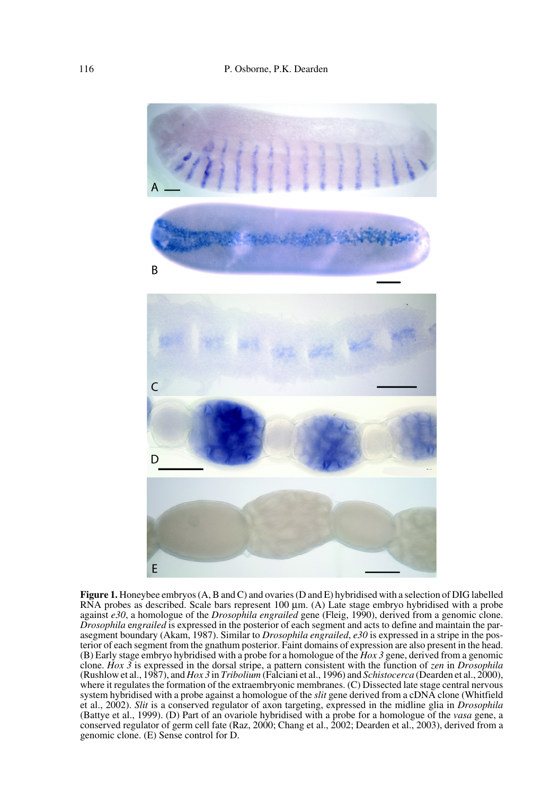

**Figure 1.** Honeybee embryos (A, B and C) and ovaries (D and E) hybridised with a selection of DIG labelled RNA probes as described. Scale bars represent 100  $\mu$ m. (A) Late stage embryo hybridised with a probe against *e30*, a homologue of the *Drosophila engrailed* gene (Fleig, 1990), derived from a genomic clone. *Drosophila* e*ngrailed* is expressed in the posterior of each segment and acts to define and maintain the parasegment boundary (Akam, 1987). Similar to *Drosophila engrailed*, *e30* is expressed in a stripe in the posterior of each segment from the gnathum posterior. Faint domains of expression are also present in the head. (B) Early stage embryo hybridised with a probe for a homologue of the *Hox 3* gene, derived from a genomic clone. *Hox 3* is expressed in the dorsal stripe, a pattern consistent with the function of *zen* in *Drosophila* (Rushlow et al., 1987), and *Hox 3* in *Tribolium* (Falciani et al., 1996) and *Schistocerca* (Dearden et al., 2000), where it regulates the formation of the extraembryonic membranes. (C) Dissected late stage central nervous system hybridised with a probe against a homologue of the *slit* gene derived from a cDNA clone (Whitfield et al., 2002). *Slit* is a conserved regulator of axon targeting, expressed in the midline glia in *Drosophila* (Battye et al., 1999). (D) Part of an ovariole hybridised with a probe for a homologue of the *vasa* gene, a conserved regulator of germ cell fate (Raz, 2000; Chang et al., 2002; Dearden et al., 2003), derived from a genomic clone. (E) Sense control for D.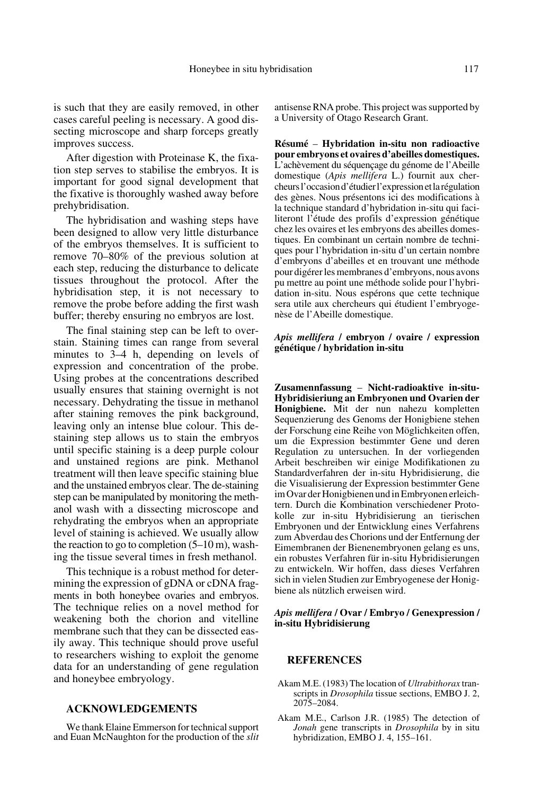is such that they are easily removed, in other cases careful peeling is necessary. A good dissecting microscope and sharp forceps greatly improves success.

After digestion with Proteinase K, the fixation step serves to stabilise the embryos. It is important for good signal development that the fixative is thoroughly washed away before prehybridisation.

The hybridisation and washing steps have been designed to allow very little disturbance of the embryos themselves. It is sufficient to remove 70–80% of the previous solution at each step, reducing the disturbance to delicate tissues throughout the protocol. After the hybridisation step, it is not necessary to remove the probe before adding the first wash buffer; thereby ensuring no embryos are lost.

The final staining step can be left to overstain. Staining times can range from several minutes to 3–4 h, depending on levels of expression and concentration of the probe. Using probes at the concentrations described usually ensures that staining overnight is not necessary. Dehydrating the tissue in methanol after staining removes the pink background, leaving only an intense blue colour. This destaining step allows us to stain the embryos until specific staining is a deep purple colour and unstained regions are pink. Methanol treatment will then leave specific staining blue and the unstained embryos clear. The de-staining step can be manipulated by monitoring the methanol wash with a dissecting microscope and rehydrating the embryos when an appropriate level of staining is achieved. We usually allow the reaction to go to completion  $(5-10 \text{ m})$ , washing the tissue several times in fresh methanol.

This technique is a robust method for determining the expression of gDNA or cDNA fragments in both honeybee ovaries and embryos. The technique relies on a novel method for weakening both the chorion and vitelline membrane such that they can be dissected easily away. This technique should prove useful to researchers wishing to exploit the genome data for an understanding of gene regulation and honeybee embryology.

## **ACKNOWLEDGEMENTS**

We thank Elaine Emmerson for technical support and Euan McNaughton for the production of the *slit* antisense RNA probe. This project was supported by a University of Otago Research Grant.

**Résumé** – **Hybridation in-situ non radioactive pour embryons et ovaires d'abeilles domestiques.** L'achèvement du séquençage du génome de l'Abeille domestique (*Apis mellifera* L.) fournit aux chercheurs l'occasion d'étudier l'expression et la régulation des gènes. Nous présentons ici des modifications à la technique standard d'hybridation in-situ qui faciliteront l'étude des profils d'expression génétique chez les ovaires et les embryons des abeilles domestiques. En combinant un certain nombre de techniques pour l'hybridation in-situ d'un certain nombre d'embryons d'abeilles et en trouvant une méthode pour digérer les membranes d'embryons, nous avons pu mettre au point une méthode solide pour l'hybridation in-situ. Nous espérons que cette technique sera utile aux chercheurs qui étudient l'embryogenèse de l'Abeille domestique.

### *Apis mellifera* **/ embryon / ovaire / expression génétique / hybridation in-situ**

**Zusamennfassung** – **Nicht-radioaktive in-situ-Hybridisieriung an Embryonen und Ovarien der Honigbiene.** Mit der nun nahezu kompletten Sequenzierung des Genoms der Honigbiene stehen der Forschung eine Reihe von Möglichkeiten offen, um die Expression bestimmter Gene und deren Regulation zu untersuchen. In der vorliegenden Arbeit beschreiben wir einige Modifikationen zu Standardverfahren der in-situ Hybridisierung, die die Visualisierung der Expression bestimmter Gene im Ovar der Honigbienen und in Embryonen erleichtern. Durch die Kombination verschiedener Protokolle zur in-situ Hybridisierung an tierischen Embryonen und der Entwicklung eines Verfahrens zum Abverdau des Chorions und der Entfernung der Eimembranen der Bienenembryonen gelang es uns, ein robustes Verfahren für in-situ Hybridisierungen zu entwickeln. Wir hoffen, dass dieses Verfahren sich in vielen Studien zur Embryogenese der Honigbiene als nützlich erweisen wird.

#### *Apis mellifera* **/ Ovar / Embryo / Genexpression / in-situ Hybridisierung**

#### **REFERENCES**

- Akam M.E. (1983) The location of *Ultrabithorax* transcripts in *Drosophila* tissue sections, EMBO J. 2, 2075–2084.
- Akam M.E., Carlson J.R. (1985) The detection of *Jonah* gene transcripts in *Drosophila* by in situ hybridization, EMBO J. 4, 155–161.